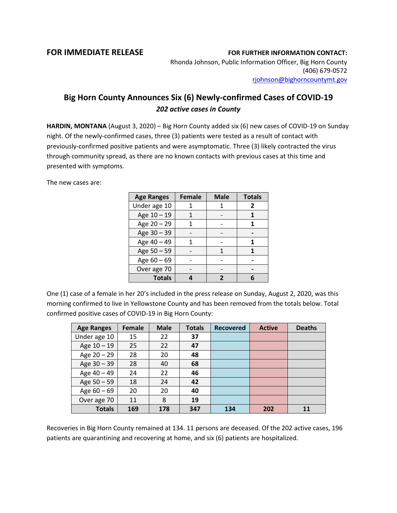## **FOR IMMEDIATE RELEASE FOR FURTHER INFORMATION CONTACT:**

Rhonda Johnson, Public Information Officer, Big Horn County (406) 679-0572 [rjohnson@bighorncountymt.gov](mailto:rjohnson@bighorncountymt.gov)

## **Big Horn County Announces Six (6) Newly-confirmed Cases of COVID-19** *202 active cases in County*

**HARDIN, MONTANA** (August 3, 2020) – Big Horn County added six (6) new cases of COVID-19 on Sunday night. Of the newly-confirmed cases, three (3) patients were tested as a result of contact with previously-confirmed positive patients and were asymptomatic. Three (3) likely contracted the virus through community spread, as there are no known contacts with previous cases at this time and presented with symptoms.

The new cases are:

| <b>Age Ranges</b> | <b>Female</b> | <b>Male</b> | <b>Totals</b> |
|-------------------|---------------|-------------|---------------|
| Under age 10      |               |             | 2             |
| Age 10 - 19       |               |             |               |
| Age 20 - 29       |               |             |               |
| Age 30 - 39       |               |             |               |
| Age 40 - 49       |               |             |               |
| Age 50 - 59       |               | 1           |               |
| Age 60 - 69       |               |             |               |
| Over age 70       |               |             |               |
| <b>Totals</b>     |               |             |               |

One (1) case of a female in her 20's included in the press release on Sunday, August 2, 2020, was this morning confirmed to live in Yellowstone County and has been removed from the totals below. Total confirmed positive cases of COVID-19 in Big Horn County:

| <b>Age Ranges</b> | <b>Female</b> | <b>Male</b> | <b>Totals</b> | <b>Recovered</b> | <b>Active</b> | <b>Deaths</b> |
|-------------------|---------------|-------------|---------------|------------------|---------------|---------------|
| Under age 10      | 15            | 22          | 37            |                  |               |               |
| Age 10 - 19       | 25            | 22          | 47            |                  |               |               |
| Age $20 - 29$     | 28            | 20          | 48            |                  |               |               |
| Age 30 - 39       | 28            | 40          | 68            |                  |               |               |
| Age 40 - 49       | 24            | 22          | 46            |                  |               |               |
| Age $50 - 59$     | 18            | 24          | 42            |                  |               |               |
| Age $60 - 69$     | 20            | 20          | 40            |                  |               |               |
| Over age 70       | 11            | 8           | 19            |                  |               |               |
| <b>Totals</b>     | 169           | 178         | 347           | 134              | 202           |               |

Recoveries in Big Horn County remained at 134. 11 persons are deceased. Of the 202 active cases, 196 patients are quarantining and recovering at home, and six (6) patients are hospitalized.